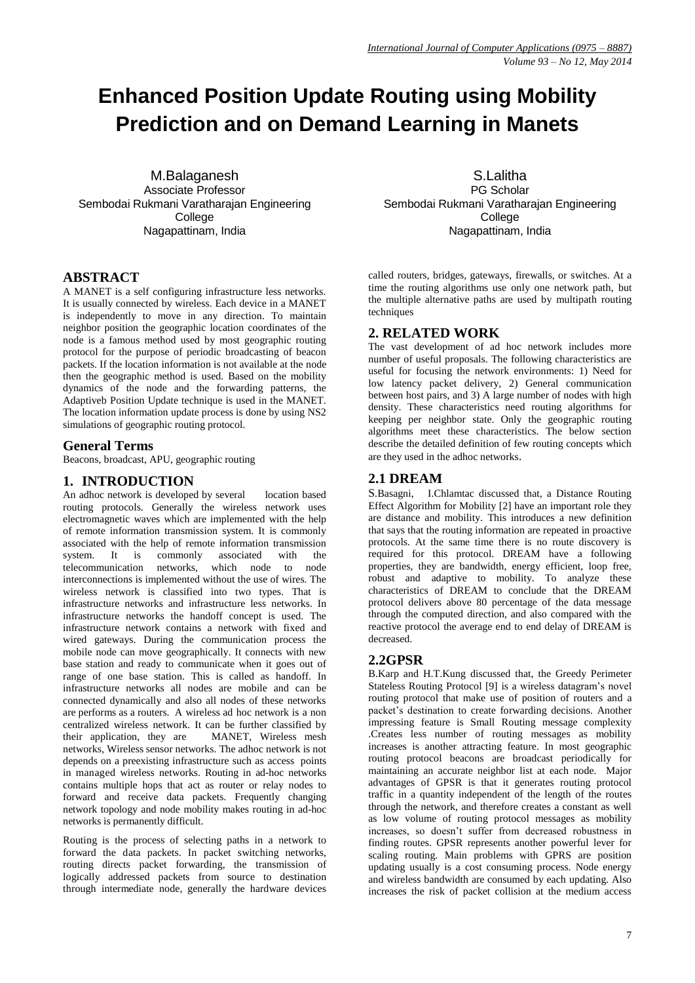# **Enhanced Position Update Routing using Mobility Prediction and on Demand Learning in Manets**

M.Balaganesh Associate Professor Sembodai Rukmani Varatharajan Engineering **College** Nagapattinam, India

## **ABSTRACT**

A MANET is a self configuring infrastructure less networks. It is usually connected by wireless. Each device in a MANET is independently to move in any direction. To maintain neighbor position the geographic location coordinates of the node is a famous method used by most geographic routing protocol for the purpose of periodic broadcasting of beacon packets. If the location information is not available at the node then the geographic method is used. Based on the mobility dynamics of the node and the forwarding patterns, the Adaptiveb Position Update technique is used in the MANET. The location information update process is done by using NS2 simulations of geographic routing protocol.

## **General Terms**

Beacons, broadcast, APU, geographic routing

## **1. INTRODUCTION**

An adhoc network is developed by several location based routing protocols. Generally the wireless network uses electromagnetic waves which are implemented with the help of remote information transmission system. It is commonly associated with the help of remote information transmission system. It is commonly associated with the telecommunication networks, which node to node telecommunication networks, interconnections is implemented without the use of wires. The wireless network is classified into two types. That is infrastructure networks and infrastructure less networks. In infrastructure networks the handoff concept is used. The infrastructure network contains a network with fixed and wired gateways. During the communication process the mobile node can move geographically. It connects with new base station and ready to communicate when it goes out of range of one base station. This is called as handoff. In infrastructure networks all nodes are mobile and can be connected dynamically and also all nodes of these networks are performs as a routers. A wireless ad hoc network is a non centralized wireless network. It can be further classified by their application, they are MANET, Wireless mesh networks, Wireless sensor networks. The adhoc network is not depends on a preexisting infrastructure such as access points in managed wireless networks. Routing in ad-hoc networks contains multiple hops that act as router or relay nodes to forward and receive data packets. Frequently changing network topology and node mobility makes routing in ad-hoc networks is permanently difficult.

Routing is the process of selecting paths in a network to forward the data packets. In packet switching networks, routing directs packet forwarding, the transmission of logically addressed packets from source to destination through intermediate node, generally the hardware devices

S.Lalitha PG Scholar Sembodai Rukmani Varatharajan Engineering **College** Nagapattinam, India

called routers, bridges, gateways, firewalls, or switches. At a time the routing algorithms use only one network path, but the multiple alternative paths are used by multipath routing techniques

## **2. RELATED WORK**

The vast development of ad hoc network includes more number of useful proposals. The following characteristics are useful for focusing the network environments: 1) Need for low latency packet delivery, 2) General communication between host pairs, and 3) A large number of nodes with high density. These characteristics need routing algorithms for keeping per neighbor state. Only the geographic routing algorithms meet these characteristics. The below section describe the detailed definition of few routing concepts which are they used in the adhoc networks.

## **2.1 DREAM**

S.Basagni, I.Chlamtac discussed that, a Distance Routing Effect Algorithm for Mobility [2] have an important role they are distance and mobility. This introduces a new definition that says that the routing information are repeated in proactive protocols. At the same time there is no route discovery is required for this protocol. DREAM have a following properties, they are bandwidth, energy efficient, loop free, robust and adaptive to mobility. To analyze these characteristics of DREAM to conclude that the DREAM protocol delivers above 80 percentage of the data message through the computed direction, and also compared with the reactive protocol the average end to end delay of DREAM is decreased.

## **2.2GPSR**

B.Karp and H.T.Kung discussed that, the Greedy Perimeter Stateless Routing Protocol [9] is a wireless datagram's novel routing protocol that make use of position of routers and a packet's destination to create forwarding decisions. Another impressing feature is Small Routing message complexity .Creates less number of routing messages as mobility increases is another attracting feature. In most geographic routing protocol beacons are broadcast periodically for maintaining an accurate neighbor list at each node. Major advantages of GPSR is that it generates routing protocol traffic in a quantity independent of the length of the routes through the network, and therefore creates a constant as well as low volume of routing protocol messages as mobility increases, so doesn't suffer from decreased robustness in finding routes. GPSR represents another powerful lever for scaling routing. Main problems with GPRS are position updating usually is a cost consuming process. Node energy and wireless bandwidth are consumed by each updating. Also increases the risk of packet collision at the medium access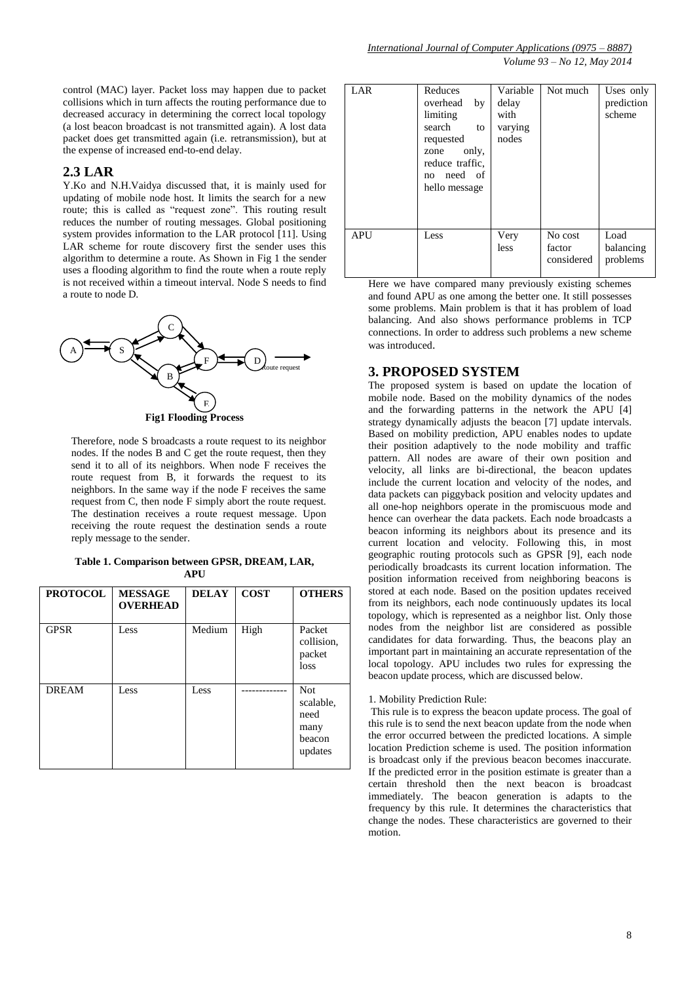control (MAC) layer. Packet loss may happen due to packet collisions which in turn affects the routing performance due to decreased accuracy in determining the correct local topology (a lost beacon broadcast is not transmitted again). A lost data packet does get transmitted again (i.e. retransmission), but at the expense of increased end-to-end delay.

#### **2.3 LAR**

Y.Ko and N.H.Vaidya discussed that, it is mainly used for updating of mobile node host. It limits the search for a new route; this is called as "request zone". This routing result reduces the number of routing messages. Global positioning system provides information to the LAR protocol [11]. Using LAR scheme for route discovery first the sender uses this algorithm to determine a route. As Shown in Fig 1 the sender uses a flooding algorithm to find the route when a route reply is not received within a timeout interval. Node S needs to find a route to node D.



Therefore, node S broadcasts a route request to its neighbor nodes. If the nodes B and C get the route request, then they send it to all of its neighbors. When node F receives the route request from B, it forwards the request to its neighbors. In the same way if the node F receives the same request from C, then node F simply abort the route request. The destination receives a route request message. Upon receiving the route request the destination sends a route reply message to the sender.

**Table 1. Comparison between GPSR, DREAM, LAR, APU**

| <b>PROTOCOL</b> | <b>MESSAGE</b><br><b>OVERHEAD</b> | <b>DELAY</b> | <b>COST</b> | <b>OTHERS</b>                                                |
|-----------------|-----------------------------------|--------------|-------------|--------------------------------------------------------------|
| <b>GPSR</b>     | Less                              | Medium       | High        | Packet<br>collision,<br>packet<br>loss                       |
| <b>DREAM</b>    | Less                              | Less         |             | <b>Not</b><br>scalable.<br>need<br>many<br>beacon<br>updates |

| LAR | Reduces<br>by<br>overhead<br>limiting<br>search<br>to<br>requested<br>only,<br>zone<br>reduce traffic,<br>need of<br>no<br>hello message | Variable<br>delay<br>with<br>varying<br>nodes | Not much                        | Uses only<br>prediction<br>scheme |
|-----|------------------------------------------------------------------------------------------------------------------------------------------|-----------------------------------------------|---------------------------------|-----------------------------------|
| APU | Less                                                                                                                                     | Very<br>less                                  | No cost<br>factor<br>considered | Load<br>balancing<br>problems     |

Here we have compared many previously existing schemes and found APU as one among the better one. It still possesses some problems. Main problem is that it has problem of load balancing. And also shows performance problems in TCP connections. In order to address such problems a new scheme was introduced.

#### **3. PROPOSED SYSTEM**

The proposed system is based on update the location of mobile node. Based on the mobility dynamics of the nodes and the forwarding patterns in the network the APU [4] strategy dynamically adjusts the beacon [7] update intervals. Based on mobility prediction, APU enables nodes to update their position adaptively to the node mobility and traffic pattern. All nodes are aware of their own position and velocity, all links are bi-directional, the beacon updates include the current location and velocity of the nodes, and data packets can piggyback position and velocity updates and all one-hop neighbors operate in the promiscuous mode and hence can overhear the data packets. Each node broadcasts a beacon informing its neighbors about its presence and its current location and velocity. Following this, in most geographic routing protocols such as GPSR [9], each node periodically broadcasts its current location information. The position information received from neighboring beacons is stored at each node. Based on the position updates received from its neighbors, each node continuously updates its local topology, which is represented as a neighbor list. Only those nodes from the neighbor list are considered as possible candidates for data forwarding. Thus, the beacons play an important part in maintaining an accurate representation of the local topology. APU includes two rules for expressing the beacon update process, which are discussed below.

#### 1. Mobility Prediction Rule:

This rule is to express the beacon update process. The goal of this rule is to send the next beacon update from the node when the error occurred between the predicted locations. A simple location Prediction scheme is used. The position information is broadcast only if the previous beacon becomes inaccurate. If the predicted error in the position estimate is greater than a certain threshold then the next beacon is broadcast immediately. The beacon generation is adapts to the frequency by this rule. It determines the characteristics that change the nodes. These characteristics are governed to their motion.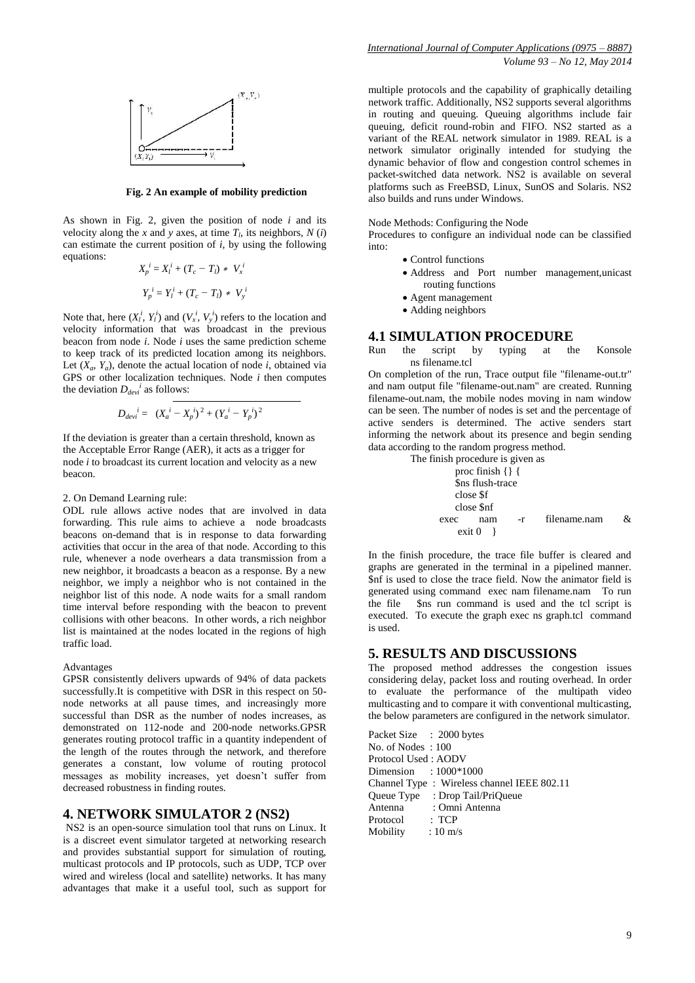

**Fig. 2 An example of mobility prediction**

As shown in Fig. 2, given the position of node *i* and its velocity along the *x* and *y* axes, at time  $T_l$ , its neighbors,  $N(i)$ can estimate the current position of *i*, by using the following equations:

$$
X_p^i = X_l^i + (T_c - T_l) * V_x^i
$$
  

$$
Y_p^i = Y_l^i + (T_c - T_l) * V_y^i
$$

Note that, here  $(X_i^i, Y_i^i)$  and  $(V_x^i, V_y^i)$  refers to the location and velocity information that was broadcast in the previous beacon from node *i*. Node *i* uses the same prediction scheme to keep track of its predicted location among its neighbors. Let  $(X_a, Y_a)$ , denote the actual location of node *i*, obtained via GPS or other localization techniques. Node *i* then computes the deviation  $D_{devi}^i$  as follows:

$$
D_{devi}{}^{i} = (X_{a}{}^{i} - X_{p}{}^{i})^{2} + (Y_{a}{}^{i} - Y_{p}{}^{i})^{2}
$$

If the deviation is greater than a certain threshold, known as the Acceptable Error Range (AER), it acts as a trigger for node *i* to broadcast its current location and velocity as a new beacon.

#### 2. On Demand Learning rule:

ODL rule allows active nodes that are involved in data forwarding. This rule aims to achieve a node broadcasts beacons on-demand that is in response to data forwarding activities that occur in the area of that node. According to this rule, whenever a node overhears a data transmission from a new neighbor, it broadcasts a beacon as a response. By a new neighbor, we imply a neighbor who is not contained in the neighbor list of this node. A node waits for a small random time interval before responding with the beacon to prevent collisions with other beacons. In other words, a rich neighbor list is maintained at the nodes located in the regions of high traffic load.

#### Advantages

GPSR consistently delivers upwards of 94% of data packets successfully.It is competitive with DSR in this respect on 50 node networks at all pause times, and increasingly more successful than DSR as the number of nodes increases, as demonstrated on 112-node and 200-node networks.GPSR generates routing protocol traffic in a quantity independent of the length of the routes through the network, and therefore generates a constant, low volume of routing protocol messages as mobility increases, yet doesn't suffer from decreased robustness in finding routes.

## **4. NETWORK SIMULATOR 2 (NS2)**

NS2 is an open-source simulation tool that runs on Linux. It is a discreet event simulator targeted at networking research and provides substantial support for simulation of routing, multicast protocols and IP protocols, such as UDP, TCP over wired and wireless (local and satellite) networks. It has many advantages that make it a useful tool, such as support for multiple protocols and the capability of graphically detailing network traffic. Additionally, NS2 supports several algorithms in routing and queuing. Queuing algorithms include fair queuing, deficit round-robin and FIFO. NS2 started as a variant of the REAL network simulator in 1989. REAL is a network simulator originally intended for studying the dynamic behavior of flow and congestion control schemes in packet-switched data network. NS2 is available on several platforms such as FreeBSD, Linux, SunOS and Solaris. NS2 also builds and runs under Windows.

#### Node Methods: Configuring the Node

Procedures to configure an individual node can be classified into:

- Control functions
- Address and Port number management,unicast routing functions
- Agent management
- Adding neighbors

### **4.1 SIMULATION PROCEDURE**

Run the script by typing at the Konsole ns filename.tcl

On completion of the run, Trace output file "filename-out.tr" and nam output file "filename-out.nam" are created. Running filename-out.nam, the mobile nodes moving in nam window can be seen. The number of nodes is set and the percentage of active senders is determined. The active senders start informing the network about its presence and begin sending data according to the random progress method.

| The finish procedure is given as |                    |
|----------------------------------|--------------------|
| proc finish $\{\}\$              |                    |
| \$ns flush-trace                 |                    |
| close \$f                        |                    |
| close \$nf                       |                    |
| $-r$<br>exec<br>nam              | filename.nam<br>&. |
| $ext{ ext} 0$                    |                    |

In the finish procedure, the trace file buffer is cleared and graphs are generated in the terminal in a pipelined manner. \$nf is used to close the trace field. Now the animator field is generated using command exec nam filename.nam To run the file \$ns run command is used and the tcl script is executed. To execute the graph exec ns graph.tcl command is used.

#### **5. RESULTS AND DISCUSSIONS**

The proposed method addresses the congestion issues considering delay, packet loss and routing overhead. In order to evaluate the performance of the multipath video multicasting and to compare it with conventional multicasting, the below parameters are configured in the network simulator.

| Packet Size : 2000 bytes    |                                            |
|-----------------------------|--------------------------------------------|
| No. of Nodes: 100           |                                            |
| Protocol Used: AODV         |                                            |
| Dimension : 1000*1000       |                                            |
|                             | Channel Type: Wireless channel IEEE 802.11 |
|                             | Queue Type : Drop Tail/PriQueue            |
| Antenna                     | : Omni Antenna                             |
| Protocol : TCP              |                                            |
| Mobility : $10 \text{ m/s}$ |                                            |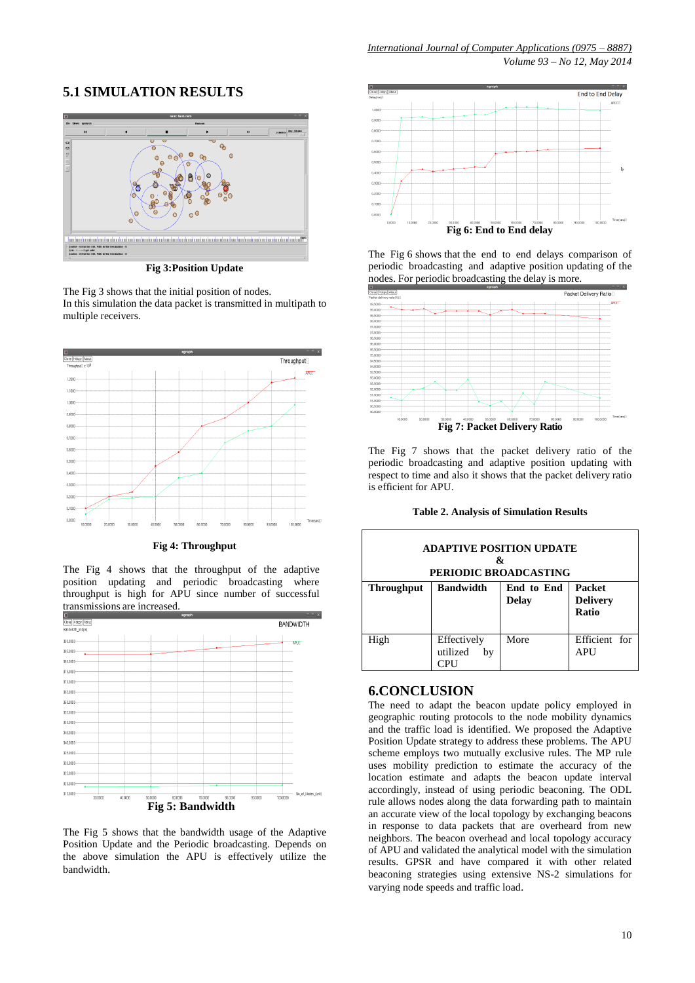## **5.1 SIMULATION RESULTS**



**Fig 3:Position Update**

The Fig 3 shows that the initial position of nodes. In this simulation the data packet is transmitted in multipath to multiple receivers.



**Fig 4: Throughput**

The Fig 4 shows that the throughput of the adaptive position updating and periodic broadcasting where throughput is high for APU since number of successful transmissions are increased.



The Fig 5 shows that the bandwidth usage of the Adaptive Position Update and the Periodic broadcasting. Depends on the above simulation the APU is effectively utilize the bandwidth.



The Fig 6 shows that the end to end delays comparison of periodic broadcasting and adaptive position updating of the nodes. For periodic broadcasting the delay is more.



The Fig 7 shows that the packet delivery ratio of the periodic broadcasting and adaptive position updating with respect to time and also it shows that the packet delivery ratio is efficient for APU.

**Table 2. Analysis of Simulation Results**

| <b>ADAPTIVE POSITION UPDATE</b><br>x,<br>PERIODIC BROADCASTING |                                      |                            |                                                  |  |  |
|----------------------------------------------------------------|--------------------------------------|----------------------------|--------------------------------------------------|--|--|
| <b>Throughput</b>                                              | <b>Bandwidth</b>                     | End to End<br><b>Delay</b> | <b>Packet</b><br><b>Delivery</b><br><b>Ratio</b> |  |  |
| High                                                           | Effectively<br>utilized<br>bv<br>≘PH | More                       | Efficient for<br><b>APU</b>                      |  |  |

## **6.CONCLUSION**

The need to adapt the beacon update policy employed in geographic routing protocols to the node mobility dynamics and the traffic load is identified. We proposed the Adaptive Position Update strategy to address these problems. The APU scheme employs two mutually exclusive rules. The MP rule uses mobility prediction to estimate the accuracy of the location estimate and adapts the beacon update interval accordingly, instead of using periodic beaconing. The ODL rule allows nodes along the data forwarding path to maintain an accurate view of the local topology by exchanging beacons in response to data packets that are overheard from new neighbors. The beacon overhead and local topology accuracy of APU and validated the analytical model with the simulation results. GPSR and have compared it with other related beaconing strategies using extensive NS-2 simulations for varying node speeds and traffic load.